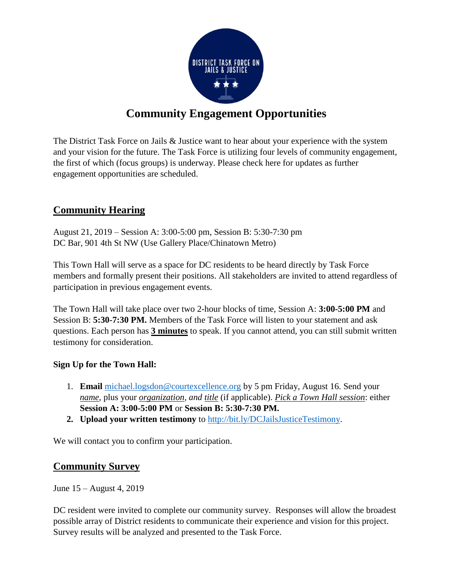

# **Community Engagement Opportunities**

The District Task Force on Jails & Justice want to hear about your experience with the system and your vision for the future. The Task Force is utilizing four levels of community engagement, the first of which (focus groups) is underway. Please check here for updates as further engagement opportunities are scheduled.

## **Community Hearing**

August 21, 2019 – Session A: 3:00-5:00 pm, Session B: 5:30-7:30 pm DC Bar, 901 4th St NW (Use Gallery Place/Chinatown Metro)

This Town Hall will serve as a space for DC residents to be heard directly by Task Force members and formally present their positions. All stakeholders are invited to attend regardless of participation in previous engagement events.

The Town Hall will take place over two 2-hour blocks of time, Session A: **3:00-5:00 PM** and Session B: **5:30-7:30 PM.** Members of the Task Force will listen to your statement and ask questions. Each person has **3 minutes** to speak. If you cannot attend, you can still submit written testimony for consideration.

#### **Sign Up for the Town Hall:**

- 1. **Email** [michael.logsdon@courtexcellence.org](mailto:michael.logsdon@courtexcellence.org) by 5 pm Friday, August 16. Send your *name,* plus your *organization, and title* (if applicable). *Pick a Town Hall session*: either **Session A: 3:00-5:00 PM** or **Session B: 5:30-7:30 PM.**
- **2. Upload your written testimony** to [http://bit.ly/DCJailsJusticeTestimony.](http://bit.ly/DCJailsJusticeTestimony)

We will contact you to confirm your participation.

### **Community Survey**

June 15 – August 4, 2019

DC resident were invited to complete our community survey. Responses will allow the broadest possible array of District residents to communicate their experience and vision for this project. Survey results will be analyzed and presented to the Task Force.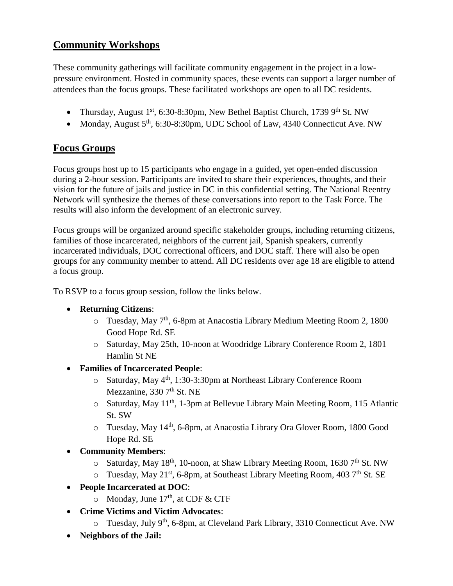## **Community Workshops**

These community gatherings will facilitate community engagement in the project in a lowpressure environment. Hosted in community spaces, these events can support a larger number of attendees than the focus groups. These facilitated workshops are open to all DC residents.

- Thursday, August 1<sup>st</sup>, 6:30-8:30pm, New Bethel Baptist Church, 1739 9<sup>th</sup> St. NW
- Monday, August  $5<sup>th</sup>$ , 6:30-8:30pm, UDC School of Law, 4340 Connecticut Ave. NW

## **Focus Groups**

Focus groups host up to 15 participants who engage in a guided, yet open-ended discussion during a 2-hour session. Participants are invited to share their experiences, thoughts, and their vision for the future of jails and justice in DC in this confidential setting. The National Reentry Network will synthesize the themes of these conversations into report to the Task Force. The results will also inform the development of an electronic survey.

Focus groups will be organized around specific stakeholder groups, including returning citizens, families of those incarcerated, neighbors of the current jail, Spanish speakers, currently incarcerated individuals, DOC correctional officers, and DOC staff. There will also be open groups for any community member to attend. All DC residents over age 18 are eligible to attend a focus group.

To RSVP to a focus group session, follow the links below.

- **Returning Citizens**:
	- $\circ$  Tuesday, May 7<sup>th</sup>, 6-8pm at Anacostia Library Medium Meeting Room 2, 1800 Good Hope Rd. SE
	- o Saturday, May 25th, 10-noon at Woodridge Library Conference Room 2, 1801 Hamlin St NE
- **Families of Incarcerated People**:
	- o Saturday, May 4th, 1:30-3:30pm at Northeast Library Conference Room Mezzanine,  $3307<sup>th</sup>$  St. NE
	- o Saturday, May 11th, 1-3pm at Bellevue Library Main Meeting Room, 115 Atlantic St. SW
	- o Tuesday, May 14th, 6-8pm, at Anacostia Library Ora Glover Room, 1800 Good Hope Rd. SE
- **Community Members**:
	- $\circ$  Saturday, May 18<sup>th</sup>, 10-noon, at Shaw Library Meeting Room, 1630 7<sup>th</sup> St. NW
	- $\circ$  Tuesday, May 21<sup>st</sup>, 6-8pm, at Southeast Library Meeting Room, 403 7<sup>th</sup> St. SE
- **People Incarcerated at DOC**:
	- $\circ$  Monday, June 17<sup>th</sup>, at CDF & CTF
- **Crime Victims and Victim Advocates**:
	- o Tuesday, July 9<sup>th</sup>, 6-8pm, at Cleveland Park Library, 3310 Connecticut Ave. NW
- **Neighbors of the Jail:**